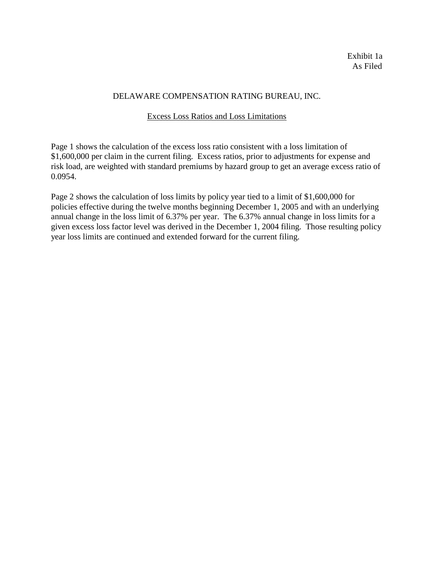#### DELAWARE COMPENSATION RATING BUREAU, INC.

#### Excess Loss Ratios and Loss Limitations

Page 1 shows the calculation of the excess loss ratio consistent with a loss limitation of \$1,600,000 per claim in the current filing. Excess ratios, prior to adjustments for expense and risk load, are weighted with standard premiums by hazard group to get an average excess ratio of 0.0954.

Page 2 shows the calculation of loss limits by policy year tied to a limit of \$1,600,000 for policies effective during the twelve months beginning December 1, 2005 and with an underlying annual change in the loss limit of 6.37% per year. The 6.37% annual change in loss limits for a given excess loss factor level was derived in the December 1, 2004 filing. Those resulting policy year loss limits are continued and extended forward for the current filing.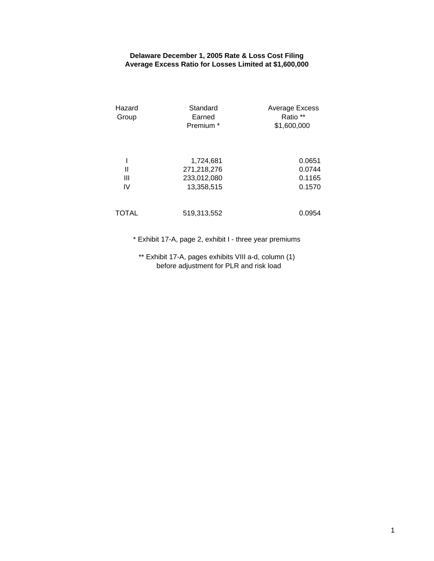## **Delaware December 1, 2005 Rate & Loss Cost Filing Average Excess Ratio for Losses Limited at \$1,600,000**

| Hazard<br>Group | Standard<br>Earned<br>Premium <sup>*</sup>            | Average Excess<br>Ratio **<br>\$1,600,000 |  |
|-----------------|-------------------------------------------------------|-------------------------------------------|--|
| Ш<br>Ш<br>IV    | 1,724,681<br>271,218,276<br>233,012,080<br>13,358,515 | 0.0651<br>0.0744<br>0.1165<br>0.1570      |  |
| <b>TOTAL</b>    | 519,313,552                                           | 0.0954                                    |  |

\* Exhibit 17-A, page 2, exhibit I - three year premiums

\*\* Exhibit 17-A, pages exhibits VIII a-d, column (1) before adjustment for PLR and risk load